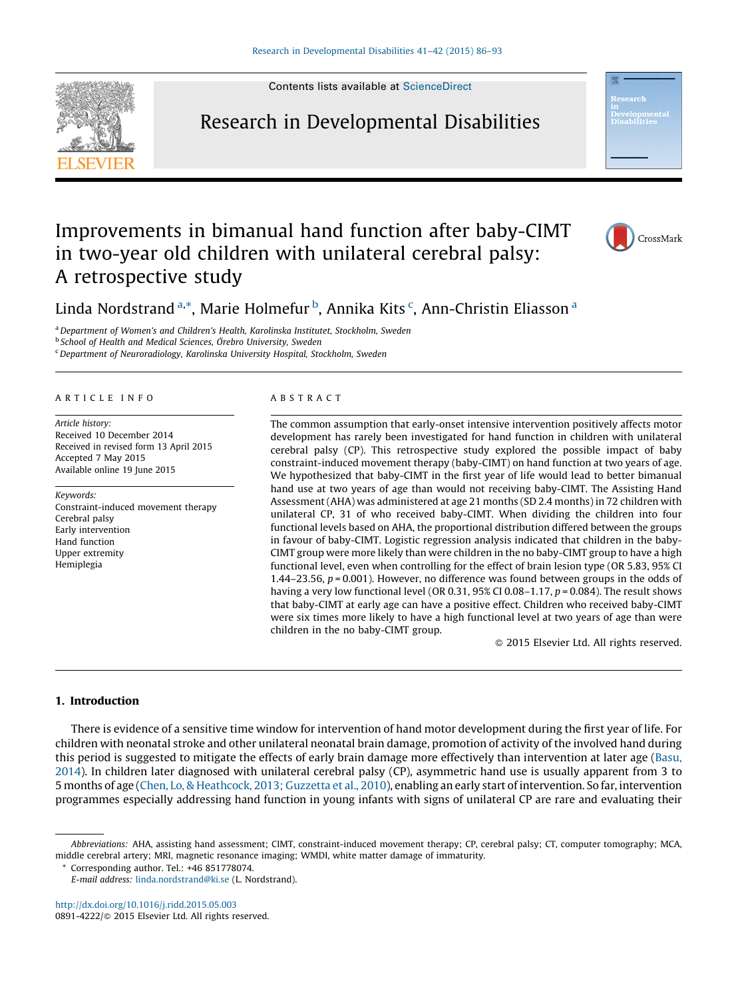

Contents lists available at [ScienceDirect](http://www.sciencedirect.com/science/journal/08914222)

# Research in Developmental Disabilities



# Improvements in bimanual hand function after baby-CIMT in two-year old children with unilateral cerebral palsy: A retrospective study



Linda Nordstrand <sup>a,\*</sup>, Marie Holmefur <sup>b</sup>, Annika Kits <sup>c</sup>, Ann-Christin Eliasson <sup>a</sup>

<sup>a</sup> Department of Women's and Children's Health, Karolinska Institutet, Stockholm, Sweden

**b School of Health and Medical Sciences, Örebro University, Sweden** 

<sup>c</sup>Department of Neuroradiology, Karolinska University Hospital, Stockholm, Sweden

### A R T I C L E I N F O

Article history: Received 10 December 2014 Received in revised form 13 April 2015 Accepted 7 May 2015 Available online 19 June 2015

Keywords: Constraint-induced movement therapy Cerebral palsy Early intervention Hand function Upper extremity Hemiplegia

#### A B S T R A C T

The common assumption that early-onset intensive intervention positively affects motor development has rarely been investigated for hand function in children with unilateral cerebral palsy (CP). This retrospective study explored the possible impact of baby constraint-induced movement therapy (baby-CIMT) on hand function at two years of age. We hypothesized that baby-CIMT in the first year of life would lead to better bimanual hand use at two years of age than would not receiving baby-CIMT. The Assisting Hand Assessment (AHA) was administered at age 21 months (SD 2.4 months) in 72 children with unilateral CP, 31 of who received baby-CIMT. When dividing the children into four functional levels based on AHA, the proportional distribution differed between the groups in favour of baby-CIMT. Logistic regression analysis indicated that children in the baby-CIMT group were more likely than were children in the no baby-CIMT group to have a high functional level, even when controlling for the effect of brain lesion type (OR 5.83, 95% CI 1.44–23.56,  $p = 0.001$ ). However, no difference was found between groups in the odds of having a very low functional level (OR 0.31, 95% CI 0.08–1.17,  $p = 0.084$ ). The result shows that baby-CIMT at early age can have a positive effect. Children who received baby-CIMT were six times more likely to have a high functional level at two years of age than were children in the no baby-CIMT group.

- 2015 Elsevier Ltd. All rights reserved.

# 1. Introduction

There is evidence of a sensitive time window for intervention of hand motor development during the first year of life. For children with neonatal stroke and other unilateral neonatal brain damage, promotion of activity of the involved hand during this period is suggested to mitigate the effects of early brain damage more effectively than intervention at later age [\(Basu,](#page-6-0) [2014](#page-6-0)). In children later diagnosed with unilateral cerebral palsy (CP), asymmetric hand use is usually apparent from 3 to 5 months of age (Chen, Lo, & [Heathcock,](#page-7-0) 2013; Guzzetta et al., 2010), enabling an early start of intervention. So far, intervention programmes especially addressing hand function in young infants with signs of unilateral CP are rare and evaluating their

\* Corresponding author. Tel.: +46 851778074.

<http://dx.doi.org/10.1016/j.ridd.2015.05.003> 0891-4222/© 2015 Elsevier Ltd. All rights reserved.

Abbreviations: AHA, assisting hand assessment; CIMT, constraint-induced movement therapy; CP, cerebral palsy; CT, computer tomography; MCA, middle cerebral artery; MRI, magnetic resonance imaging; WMDI, white matter damage of immaturity.

E-mail address: [linda.nordstrand@ki.se](mailto:linda.nordstrand@ki.se) (L. Nordstrand).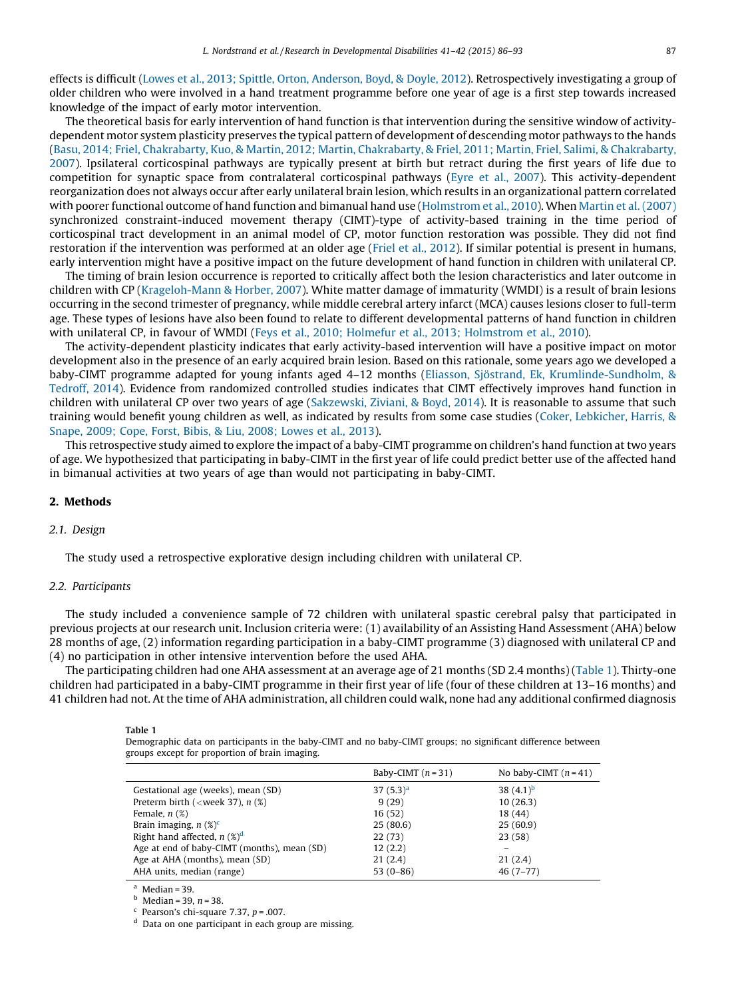<span id="page-1-0"></span>effects is difficult (Lowes et al., 2013; Spittle, Orton, [Anderson,](#page-7-0) Boyd, & Doyle, 2012). Retrospectively investigating a group of older children who were involved in a hand treatment programme before one year of age is a first step towards increased knowledge of the impact of early motor intervention.

The theoretical basis for early intervention of hand function is that intervention during the sensitive window of activitydependent motor system plasticity preserves the typical pattern of development of descending motor pathways to the hands (Basu, 2014; Friel, Chakrabarty, Kuo, & Martin, 2012; Martin, [Chakrabarty,](#page-6-0) & Friel, 2011; Martin, Friel, Salimi, & Chakrabarty, [2007](#page-6-0)). Ipsilateral corticospinal pathways are typically present at birth but retract during the first years of life due to competition for synaptic space from contralateral corticospinal pathways (Eyre et al., [2007\)](#page-7-0). This activity-dependent reorganization does not always occur after early unilateral brain lesion, which results in an organizational pattern correlated with poorer functional outcome of hand function and bimanual hand use [\(Holmstrom](#page-7-0) et al., 2010). When [Martin](#page-7-0) et al. (2007) synchronized constraint-induced movement therapy (CIMT)-type of activity-based training in the time period of corticospinal tract development in an animal model of CP, motor function restoration was possible. They did not find restoration if the intervention was performed at an older age (Friel et al., [2012](#page-7-0)). If similar potential is present in humans, early intervention might have a positive impact on the future development of hand function in children with unilateral CP.

The timing of brain lesion occurrence is reported to critically affect both the lesion characteristics and later outcome in children with CP [\(Krageloh-Mann](#page-7-0) & Horber, 2007). White matter damage of immaturity (WMDI) is a result of brain lesions occurring in the second trimester of pregnancy, while middle cerebral artery infarct (MCA) causes lesions closer to full-term age. These types of lesions have also been found to relate to different developmental patterns of hand function in children with unilateral CP, in favour of WMDI (Feys et al., 2010; Holmefur et al., 2013; [Holmstrom](#page-7-0) et al., 2010).

The activity-dependent plasticity indicates that early activity-based intervention will have a positive impact on motor development also in the presence of an early acquired brain lesion. Based on this rationale, some years ago we developed a baby-CIMT programme adapted for young infants aged 4–12 months (Eliasson, Sjöstrand, Ek, [Krumlinde-Sundholm,](#page-7-0) & [Tedroff,](#page-7-0) 2014). Evidence from randomized controlled studies indicates that CIMT effectively improves hand function in children with unilateral CP over two years of age [\(Sakzewski,](#page-7-0) Ziviani, & Boyd, 2014). It is reasonable to assume that such training would benefit young children as well, as indicated by results from some case studies (Coker, [Lebkicher,](#page-7-0) Harris, & [Snape,](#page-7-0) 2009; Cope, Forst, Bibis, & Liu, 2008; Lowes et al., 2013).

This retrospective study aimed to explore the impact of a baby-CIMT programme on children's hand function at two years of age. We hypothesized that participating in baby-CIMT in the first year of life could predict better use of the affected hand in bimanual activities at two years of age than would not participating in baby-CIMT.

# 2. Methods

## 2.1. Design

The study used a retrospective explorative design including children with unilateral CP.

## 2.2. Participants

The study included a convenience sample of 72 children with unilateral spastic cerebral palsy that participated in previous projects at our research unit. Inclusion criteria were: (1) availability of an Assisting Hand Assessment (AHA) below 28 months of age, (2) information regarding participation in a baby-CIMT programme (3) diagnosed with unilateral CP and (4) no participation in other intensive intervention before the used AHA.

The participating children had one AHA assessment at an average age of 21 months (SD 2.4 months) (Table 1). Thirty-one children had participated in a baby-CIMT programme in their first year of life (four of these children at 13–16 months) and 41 children had not. At the time of AHA administration, all children could walk, none had any additional confirmed diagnosis

Table 1

Demographic data on participants in the baby-CIMT and no baby-CIMT groups; no significant difference between groups except for proportion of brain imaging.

|                                                     | Baby-CIMT $(n=31)$ | No baby-CIMT $(n=41)$ |
|-----------------------------------------------------|--------------------|-----------------------|
| Gestational age (weeks), mean (SD)                  | $37(5.3)^a$        | 38 $(4.1)^b$          |
| Preterm birth ( <week 37),="" <math="">n (%)</week> | 9(29)              | 10(26.3)              |
| Female, $n$ $(\%)$                                  | 16(52)             | 18 (44)               |
| Brain imaging, $n$ (%) <sup>c</sup>                 | 25(80.6)           | 25(60.9)              |
| Right hand affected, $n$ (%) <sup>d</sup>           | 22(73)             | 23(58)                |
| Age at end of baby-CIMT (months), mean (SD)         | 12(2.2)            |                       |
| Age at AHA (months), mean (SD)                      | 21(2.4)            | 21(2.4)               |
| AHA units, median (range)                           | $53(0-86)$         | $46(7-77)$            |

 $^{\circ}$  Median = 39.

 $<sup>b</sup>$  Median = 39, *n* = 38.</sup>

<sup>c</sup> Pearson's chi-square 7.37,  $p = .007$ .

<sup>d</sup> Data on one participant in each group are missing.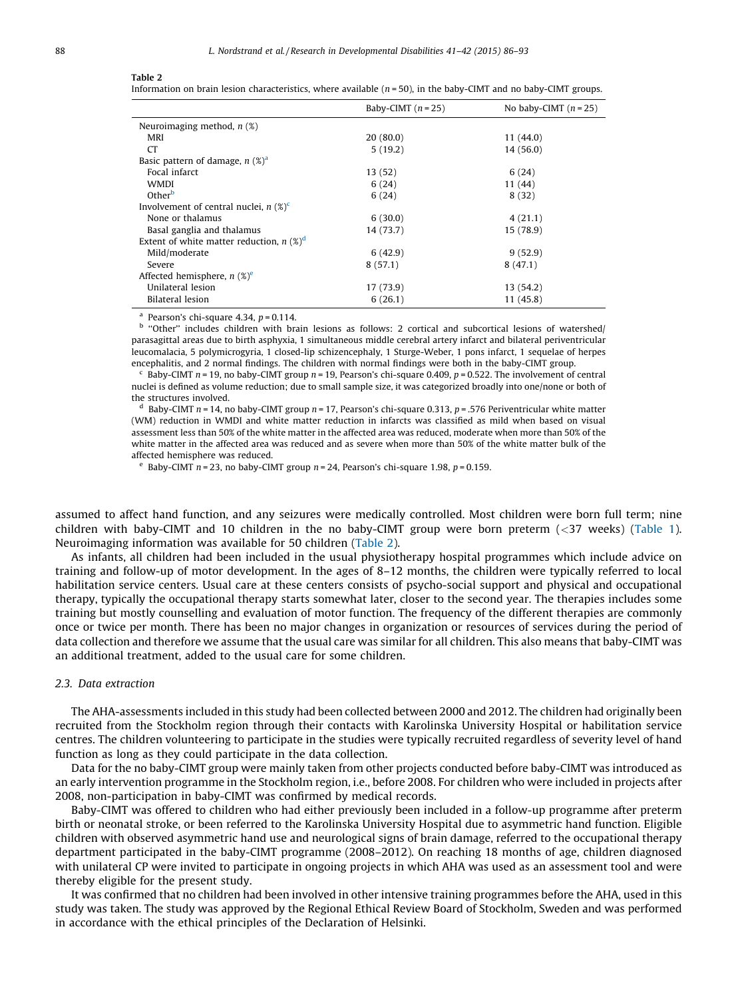#### <span id="page-2-0"></span>Table 2

Information on brain lesion characteristics, where available ( $n = 50$ ), in the baby-CIMT and no baby-CIMT groups.

|                                                        | Baby-CIMT $(n = 25)$ | No baby-CIMT $(n = 25)$ |  |  |
|--------------------------------------------------------|----------------------|-------------------------|--|--|
| Neuroimaging method, $n$ (%)                           |                      |                         |  |  |
| MRI                                                    | 20(80.0)             | 11 (44.0)               |  |  |
| <b>CT</b>                                              | 5(19.2)              | 14 (56.0)               |  |  |
| Basic pattern of damage, $n$ (%) <sup>a</sup>          |                      |                         |  |  |
| Focal infarct                                          | 13 (52)              | 6(24)                   |  |  |
| WMDI                                                   | 6(24)                | 11 (44)                 |  |  |
| Other <sup>b</sup>                                     | 6(24)                | 8(32)                   |  |  |
| Involvement of central nuclei, $n$ (%) <sup>c</sup>    |                      |                         |  |  |
| None or thalamus                                       | 6(30.0)              | 4(21.1)                 |  |  |
| Basal ganglia and thalamus                             | 14 (73.7)            | 15 (78.9)               |  |  |
| Extent of white matter reduction, $n$ (%) <sup>d</sup> |                      |                         |  |  |
| Mild/moderate                                          | 6(42.9)              | 9(52.9)                 |  |  |
| Severe                                                 | 8(57.1)              | 8(47.1)                 |  |  |
| Affected hemisphere, $n$ (%) <sup>e</sup>              |                      |                         |  |  |
| Unilateral lesion                                      | 17 (73.9)            | 13 (54.2)               |  |  |
| Bilateral lesion                                       | 6(26.1)              | 11 (45.8)               |  |  |

<sup>a</sup> Pearson's chi-square 4.34,  $p = 0.114$ .

b "Other" includes children with brain lesions as follows: 2 cortical and subcortical lesions of watershed/ parasagittal areas due to birth asphyxia, 1 simultaneous middle cerebral artery infarct and bilateral periventricular leucomalacia, 5 polymicrogyria, 1 closed-lip schizencephaly, 1 Sturge-Weber, 1 pons infarct, 1 sequelae of herpes encephalitis, and 2 normal findings. The children with normal findings were both in the baby-CIMT group.

Baby-CIMT  $n = 19$ , no baby-CIMT group  $n = 19$ , Pearson's chi-square 0.409,  $p = 0.522$ . The involvement of central nuclei is defined as volume reduction; due to small sample size, it was categorized broadly into one/none or both of the structures involved.

<sup>d</sup> Baby-CIMT  $n = 14$ , no baby-CIMT group  $n = 17$ , Pearson's chi-square 0.313,  $p = .576$  Periventricular white matter (WM) reduction in WMDI and white matter reduction in infarcts was classified as mild when based on visual assessment less than 50% of the white matter in the affected area was reduced, moderate when more than 50% of the white matter in the affected area was reduced and as severe when more than 50% of the white matter bulk of the affected hemisphere was reduced.

<sup>e</sup> Baby-CIMT  $n = 23$ , no baby-CIMT group  $n = 24$ , Pearson's chi-square 1.98,  $p = 0.159$ .

assumed to affect hand function, and any seizures were medically controlled. Most children were born full term; nine children with baby-CIMT and 10 children in the no baby-CIMT group were born preterm (<37 weeks) [\(Table](#page-1-0) 1). Neuroimaging information was available for 50 children (Table 2).

As infants, all children had been included in the usual physiotherapy hospital programmes which include advice on training and follow-up of motor development. In the ages of 8–12 months, the children were typically referred to local habilitation service centers. Usual care at these centers consists of psycho-social support and physical and occupational therapy, typically the occupational therapy starts somewhat later, closer to the second year. The therapies includes some training but mostly counselling and evaluation of motor function. The frequency of the different therapies are commonly once or twice per month. There has been no major changes in organization or resources of services during the period of data collection and therefore we assume that the usual care was similar for all children. This also means that baby-CIMT was an additional treatment, added to the usual care for some children.

## 2.3. Data extraction

The AHA-assessments included in this study had been collected between 2000 and 2012. The children had originally been recruited from the Stockholm region through their contacts with Karolinska University Hospital or habilitation service centres. The children volunteering to participate in the studies were typically recruited regardless of severity level of hand function as long as they could participate in the data collection.

Data for the no baby-CIMT group were mainly taken from other projects conducted before baby-CIMT was introduced as an early intervention programme in the Stockholm region, i.e., before 2008. For children who were included in projects after 2008, non-participation in baby-CIMT was confirmed by medical records.

Baby-CIMT was offered to children who had either previously been included in a follow-up programme after preterm birth or neonatal stroke, or been referred to the Karolinska University Hospital due to asymmetric hand function. Eligible children with observed asymmetric hand use and neurological signs of brain damage, referred to the occupational therapy department participated in the baby-CIMT programme (2008–2012). On reaching 18 months of age, children diagnosed with unilateral CP were invited to participate in ongoing projects in which AHA was used as an assessment tool and were thereby eligible for the present study.

It was confirmed that no children had been involved in other intensive training programmes before the AHA, used in this study was taken. The study was approved by the Regional Ethical Review Board of Stockholm, Sweden and was performed in accordance with the ethical principles of the Declaration of Helsinki.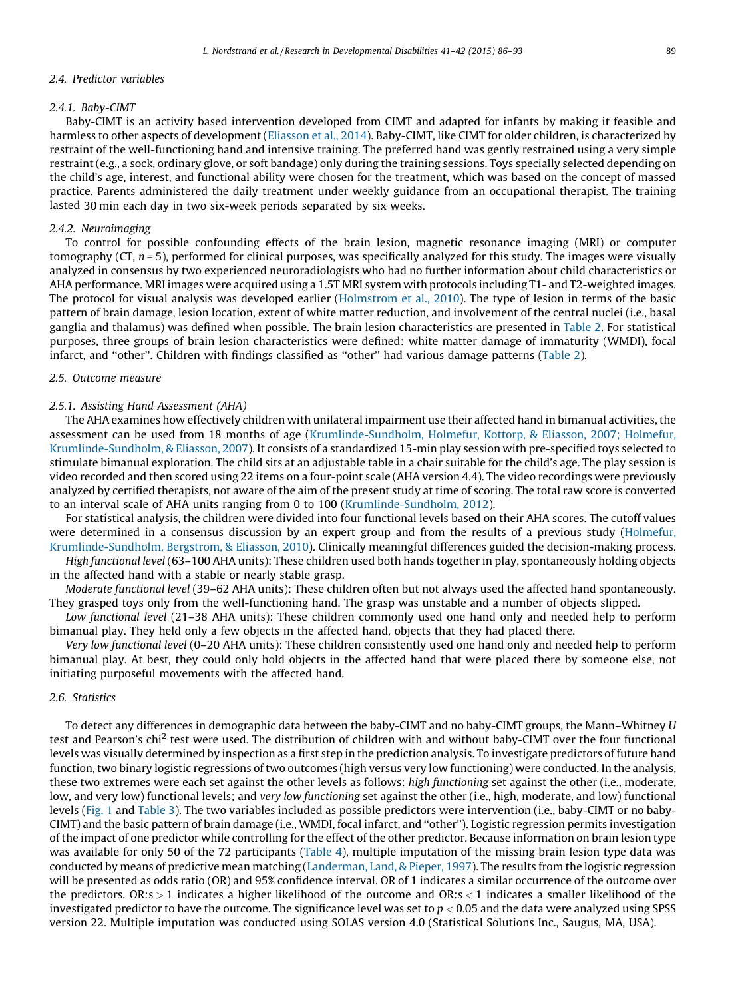#### 2.4. Predictor variables

### 2.4.1. Baby-CIMT

Baby-CIMT is an activity based intervention developed from CIMT and adapted for infants by making it feasible and harmless to other aspects of development [\(Eliasson](#page-7-0) et al., 2014). Baby-CIMT, like CIMT for older children, is characterized by restraint of the well-functioning hand and intensive training. The preferred hand was gently restrained using a very simple restraint (e.g., a sock, ordinary glove, or soft bandage) only during the training sessions. Toys specially selected depending on the child's age, interest, and functional ability were chosen for the treatment, which was based on the concept of massed practice. Parents administered the daily treatment under weekly guidance from an occupational therapist. The training lasted 30 min each day in two six-week periods separated by six weeks.

## 2.4.2. Neuroimaging

To control for possible confounding effects of the brain lesion, magnetic resonance imaging (MRI) or computer tomography ( $CT$ ,  $n = 5$ ), performed for clinical purposes, was specifically analyzed for this study. The images were visually analyzed in consensus by two experienced neuroradiologists who had no further information about child characteristics or AHA performance. MRI images were acquired using a 1.5T MRI system with protocols including T1- and T2-weighted images. The protocol for visual analysis was developed earlier [\(Holmstrom](#page-7-0) et al., 2010). The type of lesion in terms of the basic pattern of brain damage, lesion location, extent of white matter reduction, and involvement of the central nuclei (i.e., basal ganglia and thalamus) was defined when possible. The brain lesion characteristics are presented in [Table](#page-2-0) 2. For statistical purposes, three groups of brain lesion characteristics were defined: white matter damage of immaturity (WMDI), focal infarct, and ''other''. Children with findings classified as ''other'' had various damage patterns ([Table](#page-2-0) 2).

## 2.5. Outcome measure

#### 2.5.1. Assisting Hand Assessment (AHA)

The AHA examines how effectively children with unilateral impairment use their affected hand in bimanual activities, the assessment can be used from 18 months of age [\(Krumlinde-Sundholm,](#page-7-0) Holmefur, Kottorp, & Eliasson, 2007; Holmefur, [Krumlinde-Sundholm,](#page-7-0) & Eliasson, 2007). It consists of a standardized 15-min play session with pre-specified toys selected to stimulate bimanual exploration. The child sits at an adjustable table in a chair suitable for the child's age. The play session is video recorded and then scored using 22 items on a four-point scale (AHA version 4.4). The video recordings were previously analyzed by certified therapists, not aware of the aim of the present study at time of scoring. The total raw score is converted to an interval scale of AHA units ranging from 0 to 100 ([Krumlinde-Sundholm,](#page-7-0) 2012).

For statistical analysis, the children were divided into four functional levels based on their AHA scores. The cutoff values were determined in a consensus discussion by an expert group and from the results of a previous study ([Holmefur,](#page-7-0) [Krumlinde-Sundholm,](#page-7-0) Bergstrom, & Eliasson, 2010). Clinically meaningful differences guided the decision-making process.

High functional level (63–100 AHA units): These children used both hands together in play, spontaneously holding objects in the affected hand with a stable or nearly stable grasp.

Moderate functional level (39–62 AHA units): These children often but not always used the affected hand spontaneously. They grasped toys only from the well-functioning hand. The grasp was unstable and a number of objects slipped.

Low functional level (21–38 AHA units): These children commonly used one hand only and needed help to perform bimanual play. They held only a few objects in the affected hand, objects that they had placed there.

Very low functional level (0–20 AHA units): These children consistently used one hand only and needed help to perform bimanual play. At best, they could only hold objects in the affected hand that were placed there by someone else, not initiating purposeful movements with the affected hand.

## 2.6. Statistics

To detect any differences in demographic data between the baby-CIMT and no baby-CIMT groups, the Mann–Whitney U test and Pearson's chi<sup>2</sup> test were used. The distribution of children with and without baby-CIMT over the four functional levels was visually determined by inspection as a first step in the prediction analysis. To investigate predictors of future hand function, two binary logistic regressions oftwo outcomes (high versus very low functioning) were conducted. In the analysis, these two extremes were each set against the other levels as follows: high functioning set against the other (i.e., moderate, low, and very low) functional levels; and very low functioning set against the other (i.e., high, moderate, and low) functional levels ([Fig.](#page-4-0) 1 and [Table](#page-4-0) 3). The two variables included as possible predictors were intervention (i.e., baby-CIMT or no baby-CIMT) and the basic pattern of brain damage (i.e., WMDI, focal infarct, and ''other''). Logistic regression permits investigation of the impact of one predictor while controlling for the effect of the other predictor. Because information on brain lesion type was available for only 50 of the 72 participants [\(Table](#page-5-0) 4), multiple imputation of the missing brain lesion type data was conducted by means of predictive mean matching ([Landerman,](#page-7-0) Land, & Pieper, 1997). The results from the logistic regression will be presented as odds ratio (OR) and 95% confidence interval. OR of 1 indicates a similar occurrence of the outcome over the predictors.  $OR:s > 1$  indicates a higher likelihood of the outcome and  $OR:s < 1$  indicates a smaller likelihood of the investigated predictor to have the outcome. The significance level was set to  $p < 0.05$  and the data were analyzed using SPSS version 22. Multiple imputation was conducted using SOLAS version 4.0 (Statistical Solutions Inc., Saugus, MA, USA).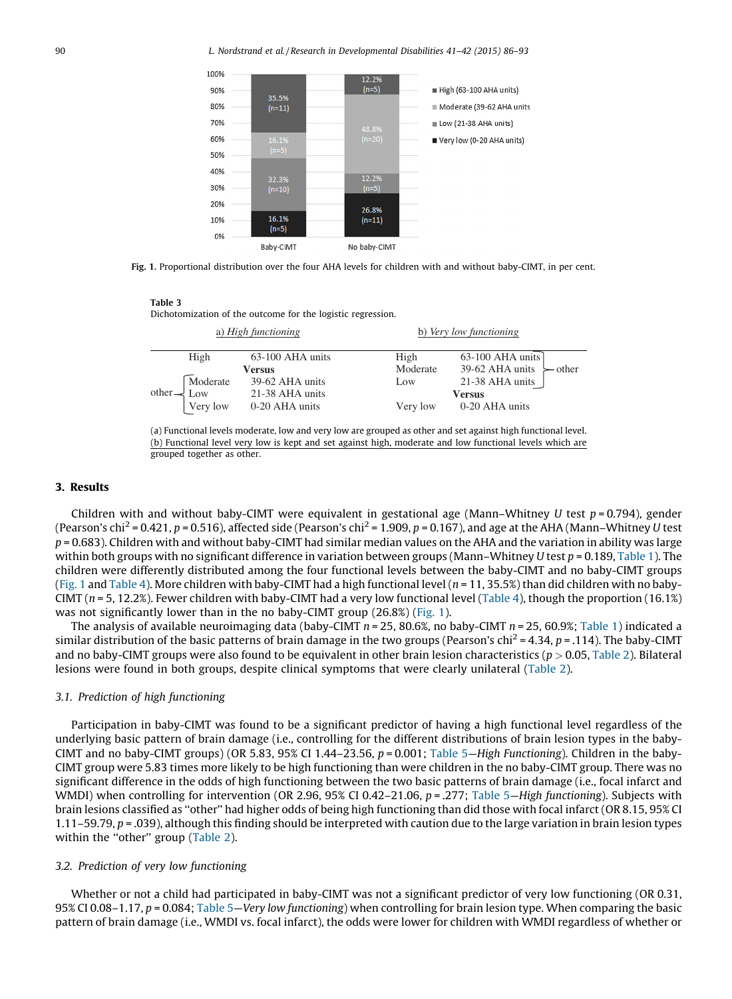<span id="page-4-0"></span>

Fig. 1. Proportional distribution over the four AHA levels for children with and without baby-CIMT, in per cent.

#### Table 3

Dichotomization of the outcome for the logistic regression.

| a) High functioning               |          |                  |  | b) Very low functioning |                                        |  |  |  |
|-----------------------------------|----------|------------------|--|-------------------------|----------------------------------------|--|--|--|
|                                   | High     | 63-100 AHA units |  | High                    | $63-100$ AHA units                     |  |  |  |
|                                   |          | Versus           |  | Moderate                | 39-62 AHA units<br>$\rightarrow$ other |  |  |  |
|                                   | Moderate | 39-62 AHA units  |  | Low                     | 21-38 AHA units                        |  |  |  |
| $other - $ Low<br>21-38 AHA units |          |                  |  |                         | <b>Versus</b>                          |  |  |  |
|                                   | Very low | 0-20 AHA units   |  | Very low                | 0-20 AHA units                         |  |  |  |



#### 3. Results

Children with and without baby-CIMT were equivalent in gestational age (Mann–Whitney U test  $p = 0.794$ ), gender (Pearson's chi<sup>2</sup> = 0.421, p = 0.516), affected side (Pearson's chi<sup>2</sup> = 1.909, p = 0.167), and age at the AHA (Mann–Whitney U test  $p = 0.683$ ). Children with and without baby-CIMT had similar median values on the AHA and the variation in ability was large within both groups with no significant difference in variation between groups (Mann–Whitney U test  $p = 0.189$ , [Table](#page-1-0) 1). The children were differently distributed among the four functional levels between the baby-CIMT and no baby-CIMT groups (Fig. 1 and [Table](#page-5-0) 4). More children with baby-CIMT had a high functional level ( $n = 11, 35.5\%$ ) than did children with no baby-CIMT ( $n = 5$ , 12.2%). Fewer children with baby-CIMT had a very low functional level ([Table](#page-5-0) 4), though the proportion (16.1%) was not significantly lower than in the no baby-CIMT group (26.8%) (Fig. 1).

The analysis of available neuroimaging data (baby-CIMT  $n = 25$ , 80.6%, no baby-CIMT  $n = 25$ , 60.9%; [Table](#page-1-0) 1) indicated a similar distribution of the basic patterns of brain damage in the two groups (Pearson's chi<sup>2</sup> = 4.34, p = .114). The baby-CIMT and no baby-CIMT groups were also found to be equivalent in other brain lesion characteristics ( $p > 0.05$ , [Table](#page-2-0) 2). Bilateral lesions were found in both groups, despite clinical symptoms that were clearly unilateral [\(Table](#page-2-0) 2).

## 3.1. Prediction of high functioning

Participation in baby-CIMT was found to be a significant predictor of having a high functional level regardless of the underlying basic pattern of brain damage (i.e., controlling for the different distributions of brain lesion types in the baby-CIMT and no baby-CIMT groups) (OR 5.83, 95% CI 1.44–23.56,  $p = 0.001$ ; [Table](#page-5-0) 5–High Functioning). Children in the baby-CIMT group were 5.83 times more likely to be high functioning than were children in the no baby-CIMT group. There was no significant difference in the odds of high functioning between the two basic patterns of brain damage (i.e., focal infarct and WMDI) when controlling for intervention (OR 2.96, 95% CI 0.42–21.06,  $p = 0.277$ ; [Table](#page-5-0) 5–High functioning). Subjects with brain lesions classified as ''other'' had higher odds of being high functioning than did those with focal infarct (OR 8.15, 95% CI  $1.11-59.79$ ,  $p = .039$ ), although this finding should be interpreted with caution due to the large variation in brain lesion types within the "other" group [\(Table](#page-2-0) 2).

#### 3.2. Prediction of very low functioning

Whether or not a child had participated in baby-CIMT was not a significant predictor of very low functioning (OR 0.31, 95% CI 0.08–1.17, p = 0.084; [Table](#page-5-0) 5—Very low functioning) when controlling for brain lesion type. When comparing the basic pattern of brain damage (i.e., WMDI vs. focal infarct), the odds were lower for children with WMDI regardless of whether or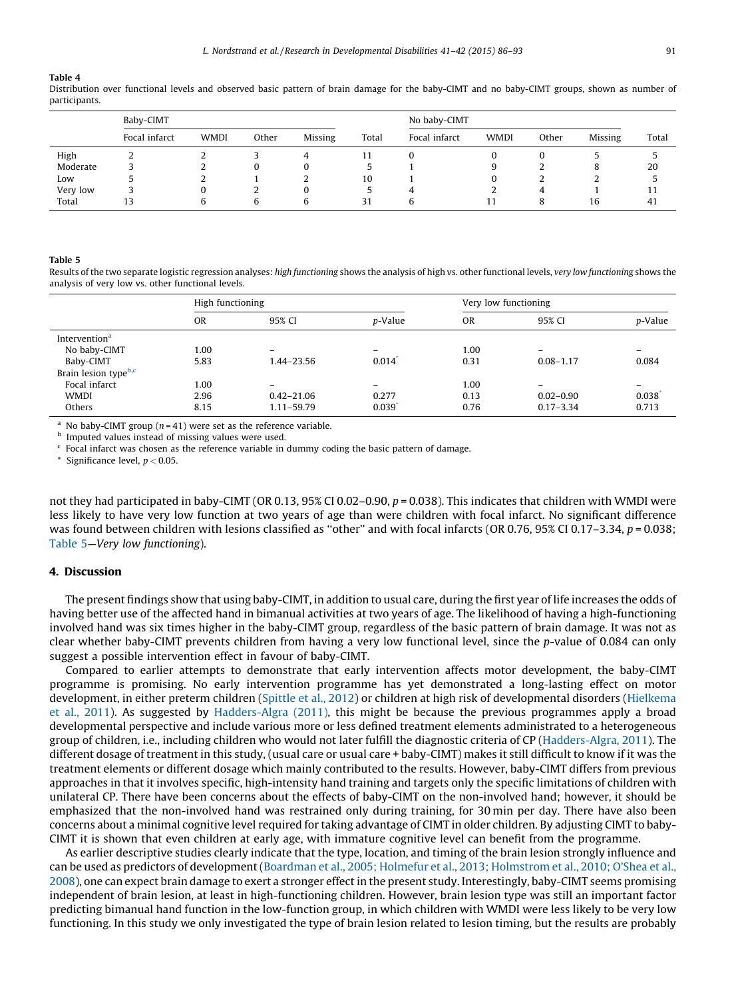#### <span id="page-5-0"></span>Table 4

Distribution over functional levels and observed basic pattern of brain damage for the baby-CIMT and no baby-CIMT groups, shown as number of participants.

|          | Baby-CIMT     |             |       |         |       | No baby-CIMT  |             |          |         |       |
|----------|---------------|-------------|-------|---------|-------|---------------|-------------|----------|---------|-------|
|          | Focal infarct | <b>WMDI</b> | Other | Missing | Total | Focal infarct | <b>WMDI</b> | Other    | Missing | Total |
| High     |               | ∼           |       |         | 11    |               |             |          |         |       |
| Moderate |               | ı           | 0     | 0       |       |               |             |          |         | 20    |
| Low      |               | ı           |       |         | 10    |               |             |          | ı       |       |
| Very low |               |             |       | 0       |       |               |             | $\Delta$ |         |       |
| Total    | 13            | h           | b     | b       | 31    | h             |             |          | 16      | 41    |

#### Table 5

Results of the two separate logistic regression analyses: high functioning shows the analysis of high vs. other functional levels, very low functioning shows the analysis of very low vs. other functional levels.

| p-Value                  |  |
|--------------------------|--|
|                          |  |
|                          |  |
| $\qquad \qquad =$        |  |
| 0.084                    |  |
|                          |  |
| $\overline{\phantom{a}}$ |  |
| 0.038                    |  |
| 0.713                    |  |
|                          |  |

<sup>a</sup> No baby-CIMT group ( $n = 41$ ) were set as the reference variable.

**b** Imputed values instead of missing values were used.

 $c$  Focal infarct was chosen as the reference variable in dummy coding the basic pattern of damage.

\* Significance level,  $p < 0.05$ .

not they had participated in baby-CIMT (OR 0.13, 95% CI 0.02–0.90,  $p = 0.038$ ). This indicates that children with WMDI were less likely to have very low function at two years of age than were children with focal infarct. No significant difference was found between children with lesions classified as "other" and with focal infarcts (OR 0.76, 95% CI 0.17–3.34,  $p = 0.038$ ; Table 5—Very low functioning).

## 4. Discussion

The present findings show that using baby-CIMT, in addition to usual care, during the first year of life increases the odds of having better use of the affected hand in bimanual activities at two years of age. The likelihood of having a high-functioning involved hand was six times higher in the baby-CIMT group, regardless of the basic pattern of brain damage. It was not as clear whether baby-CIMT prevents children from having a very low functional level, since the p-value of 0.084 can only suggest a possible intervention effect in favour of baby-CIMT.

Compared to earlier attempts to demonstrate that early intervention affects motor development, the baby-CIMT programme is promising. No early intervention programme has yet demonstrated a long-lasting effect on motor development, in either preterm children [\(Spittle](#page-7-0) et al., 2012) or children at high risk of developmental disorders ([Hielkema](#page-7-0) et al., [2011](#page-7-0)). As suggested by [Hadders-Algra](#page-7-0) (2011), this might be because the previous programmes apply a broad developmental perspective and include various more or less defined treatment elements administrated to a heterogeneous group of children, i.e., including children who would not later fulfill the diagnostic criteria of CP ([Hadders-Algra,](#page-7-0) 2011). The different dosage of treatment in this study, (usual care or usual care + baby-CIMT) makes it still difficult to know if it was the treatment elements or different dosage which mainly contributed to the results. However, baby-CIMT differs from previous approaches in that it involves specific, high-intensity hand training and targets only the specific limitations of children with unilateral CP. There have been concerns about the effects of baby-CIMT on the non-involved hand; however, it should be emphasized that the non-involved hand was restrained only during training, for 30 min per day. There have also been concerns about a minimal cognitive level required for taking advantage of CIMT in older children. By adjusting CIMT to baby-CIMT it is shown that even children at early age, with immature cognitive level can benefit from the programme.

As earlier descriptive studies clearly indicate that the type, location, and timing of the brain lesion strongly influence and can be used as predictors of development (Boardman et al., 2005; Holmefur et al., 2013; [Holmstrom](#page-7-0) et al., 2010; O'Shea et al., [2008](#page-7-0)), one can expect brain damage to exert a stronger effect in the present study. Interestingly, baby-CIMT seems promising independent of brain lesion, at least in high-functioning children. However, brain lesion type was still an important factor predicting bimanual hand function in the low-function group, in which children with WMDI were less likely to be very low functioning. In this study we only investigated the type of brain lesion related to lesion timing, but the results are probably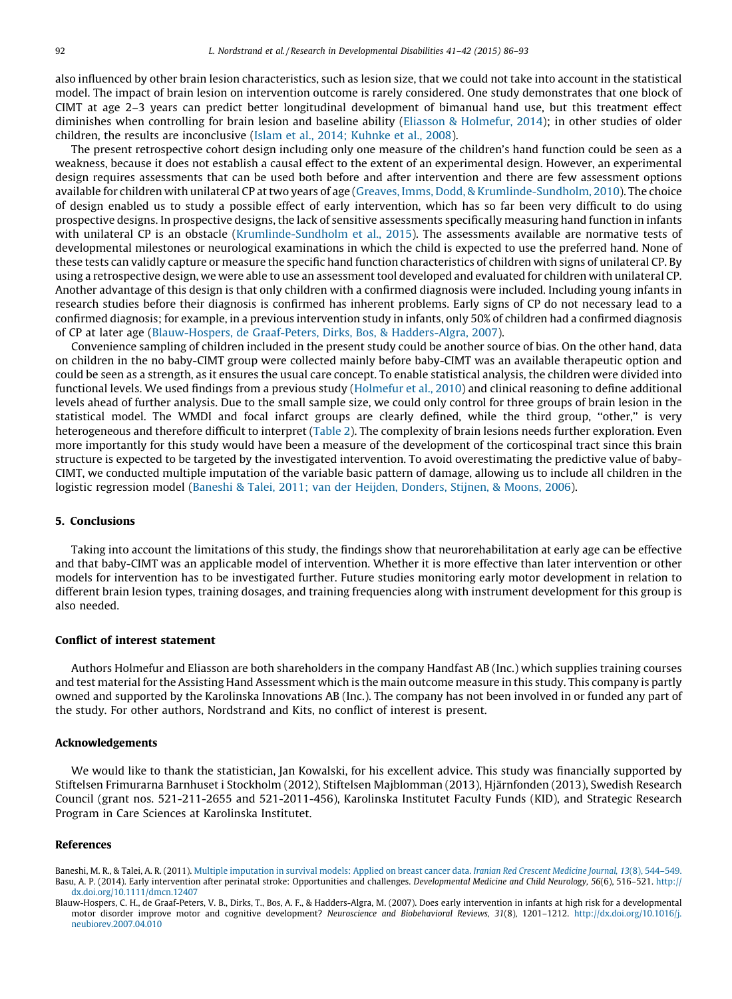<span id="page-6-0"></span>also influenced by other brain lesion characteristics, such as lesion size, that we could not take into account in the statistical model. The impact of brain lesion on intervention outcome is rarely considered. One study demonstrates that one block of CIMT at age 2–3 years can predict better longitudinal development of bimanual hand use, but this treatment effect diminishes when controlling for brain lesion and baseline ability (Eliasson & [Holmefur,](#page-7-0) 2014); in other studies of older children, the results are inconclusive (Islam et al., 2014; [Kuhnke](#page-7-0) et al., 2008).

The present retrospective cohort design including only one measure of the children's hand function could be seen as a weakness, because it does not establish a causal effect to the extent of an experimental design. However, an experimental design requires assessments that can be used both before and after intervention and there are few assessment options available for children with unilateral CP attwo years of age (Greaves, Imms, Dodd, & [Krumlinde-Sundholm,](#page-7-0) 2010). The choice of design enabled us to study a possible effect of early intervention, which has so far been very difficult to do using prospective designs. In prospective designs, the lack of sensitive assessments specifically measuring hand function in infants with unilateral CP is an obstacle ([Krumlinde-Sundholm](#page-7-0) et al., 2015). The assessments available are normative tests of developmental milestones or neurological examinations in which the child is expected to use the preferred hand. None of these tests can validly capture or measure the specific hand function characteristics of children with signs of unilateral CP. By using a retrospective design, we were able to use an assessment tool developed and evaluated for children with unilateral CP. Another advantage of this design is that only children with a confirmed diagnosis were included. Including young infants in research studies before their diagnosis is confirmed has inherent problems. Early signs of CP do not necessary lead to a confirmed diagnosis; for example, in a previous intervention study in infants, only 50% of children had a confirmed diagnosis of CP at later age (Blauw-Hospers, de Graaf-Peters, Dirks, Bos, & Hadders-Algra, 2007).

Convenience sampling of children included in the present study could be another source of bias. On the other hand, data on children in the no baby-CIMT group were collected mainly before baby-CIMT was an available therapeutic option and could be seen as a strength, as it ensures the usual care concept. To enable statistical analysis, the children were divided into functional levels. We used findings from a previous study ([Holmefur](#page-7-0) et al., 2010) and clinical reasoning to define additional levels ahead of further analysis. Due to the small sample size, we could only control for three groups of brain lesion in the statistical model. The WMDI and focal infarct groups are clearly defined, while the third group, ''other,'' is very heterogeneous and therefore difficult to interpret [\(Table](#page-2-0) 2). The complexity of brain lesions needs further exploration. Even more importantly for this study would have been a measure of the development of the corticospinal tract since this brain structure is expected to be targeted by the investigated intervention. To avoid overestimating the predictive value of baby-CIMT, we conducted multiple imputation of the variable basic pattern of damage, allowing us to include all children in the logistic regression model (Baneshi & Talei, 2011; van der Heijden, Donders, Stijnen, & Moons, 2006).

### 5. Conclusions

Taking into account the limitations of this study, the findings show that neurorehabilitation at early age can be effective and that baby-CIMT was an applicable model of intervention. Whether it is more effective than later intervention or other models for intervention has to be investigated further. Future studies monitoring early motor development in relation to different brain lesion types, training dosages, and training frequencies along with instrument development for this group is also needed.

### Conflict of interest statement

Authors Holmefur and Eliasson are both shareholders in the company Handfast AB (Inc.) which supplies training courses and test material for the Assisting Hand Assessment which is the main outcome measure in this study. This company is partly owned and supported by the Karolinska Innovations AB (Inc.). The company has not been involved in or funded any part of the study. For other authors, Nordstrand and Kits, no conflict of interest is present.

#### Acknowledgements

We would like to thank the statistician, Jan Kowalski, for his excellent advice. This study was financially supported by Stiftelsen Frimurarna Barnhuset i Stockholm (2012), Stiftelsen Majblomman (2013), Hjärnfonden (2013), Swedish Research Council (grant nos. 521-211-2655 and 521-2011-456), Karolinska Institutet Faculty Funds (KID), and Strategic Research Program in Care Sciences at Karolinska Institutet.

#### References

Baneshi, M. R., & Talei, A. R. (2011). Multiple [imputation](http://refhub.elsevier.com/S0891-4222(15)00042-6/sbref0005) in survival models: Applied on breast cancer data. Iranian Red Crescent Medicine Journal, 13(8), 544-549. Basu, A. P. (2014). Early intervention after perinatal stroke: Opportunities and challenges. Developmental Medicine and Child Neurology, 56(6), 516–521. [http://](http://dx.doi.org/10.1111/dmcn.12407) [dx.doi.org/10.1111/dmcn.12407](http://dx.doi.org/10.1111/dmcn.12407)

Blauw-Hospers, C. H., de Graaf-Peters, V. B., Dirks, T., Bos, A. F., & Hadders-Algra, M. (2007). Does early intervention in infants at high risk for a developmental motor disorder improve motor and cognitive development? Neuroscience and Biobehavioral Reviews, 31(8), 1201–1212. [http://dx.doi.org/10.1016/j.](http://dx.doi.org/10.1016/j.        neubiorev.2007.04.010) [neubiorev.2007.04.010](http://dx.doi.org/10.1016/j.        neubiorev.2007.04.010)